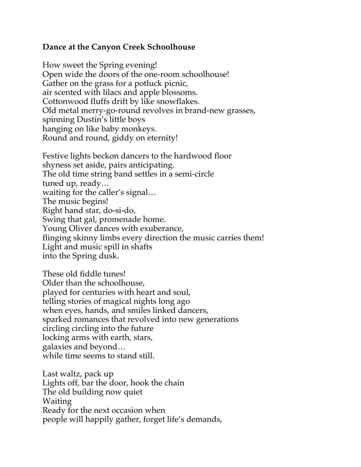## **Dance at the Canyon Creek Schoolhouse**

How sweet the Spring evening! Open wide the doors of the one-room schoolhouse! Gather on the grass for a potluck picnic, air scented with lilacs and apple blossoms. Cottonwood fluffs drift by like snowflakes. Old metal merry-go-round revolves in brand-new grasses, spinning Dustin's little boys hanging on like baby monkeys. Round and round, giddy on eternity!

Festive lights beckon dancers to the hardwood floor shyness set aside, pairs anticipating. The old time string band settles in a semi-circle tuned up, ready… waiting for the caller's signal… The music begins! Right hand star, do-si-do, Swing that gal, promenade home. Young Oliver dances with exuberance, flinging skinny limbs every direction the music carries them! Light and music spill in shafts into the Spring dusk.

These old fiddle tunes! Older than the schoolhouse, played for centuries with heart and soul, telling stories of magical nights long ago when eyes, hands, and smiles linked dancers, sparked romances that revolved into new generations circling circling into the future locking arms with earth, stars, galaxies and beyond… while time seems to stand still.

Last waltz, pack up Lights off, bar the door, hook the chain The old building now quiet Waiting Ready for the next occasion when people will happily gather, forget life's demands,